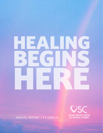

ANNUAL REPORT | FY 2020-21

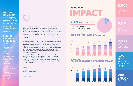#### MISSION

to provide individualized services and resources to victims of sexual assault, violent crime, and traumatic circumstances, through crisis response, advocacy, therapy, and community awareness.

### VISION

To transform victims' lives and prevent violence in our community.

# 2020 -21 BOARD OF DIRECTORS

Sam Azar Amy Bosley Bobbie Brinkerhoff **Vice Chairperson** Derek Bruce Amy DeYoung Major Stephen Garrison Adela Hathaway Allen Johnson Sonia Narvaez Laura Owens Isabella Rodriguez Captain Mariluz Santana Chairperson, Governence 2,552 THERAPY **SESSIONS** 

Craig Swygert

Monique Yeager

Shannon Zijac

# 2020-2021 IMPACT

# 6,275 **CLIENTS HELPED**

84% Sexual Violence 16% Non-Sexual Violence

# **HELPLINE CALLS PER YEAR**

# IN-PERSON



4,270 **CLIENTS SERVED** (BEYOND HELPLINE)

2,005 24/7 HELPLINE CALLS



375 **CRISIS** RESPONSE & FORENSIC EXAMS

288 **OUTREACH** EVENTS







As we entered the FY20-21 Fiscal Year, it was clear that the COVID 19 Pandemic was far from over and our ways of doing business would be fundamentally changed forever. Remote work and virtual client meetings became the new norm while in-person interactions involved mask wearing and sitting six feet away from one another. While these changes were necessary to maintain the health and safety of our staff and clients, they also opened a new world of possibilities and opportunities to reach clients and supporters in ways that we never could have imagined.

This year's annual report highlights how despite the lockdowns and public anxiety over the pandemic, our team of professionals was able to stay true to our mission and continue to find new ways to pursue the goals that were set forth in our strategic plan before anyone even knew what a pandemic was! In the following pages you will see that we increased services on our 24/7 Helpline by 32%, opened two new satellite offices, expanded our group therapy offerings, created several new strategic partnerships, launched a new large scale advertising campaign and reached more individuals with prevention education than ever before in our 23 year history.

As we look toward the future and the post-pandemic new world reality, the VSC continues to adapt and serve as an extraordinary resource in our community thanks to our incredible staff, Board of Directors, grant funders, sponsors, donors, volunteers and community partners who share our passion and mission of helping those that have been impacted by violence, sexual assault and other traumatic circumstances.

Sincerely,

Lui Damiani Executive Director

Lui Damiani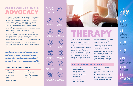# CRISIS COUNSELING & ADVOCACY

VSC continued to be the only Certified Rape Crisis Center serving Orange, Osceola and Seminole Counties and all of our services remained free, confidential and victim-focused. Our Master's Level Crisis Counselor/ Victim Advocates were available around the clock to offer emotional support through our 24/7 Crisis Helpline (407) 500-HEAL. Plus, in an effort to better meet the needs of our clients, we offered in-person, virtual and hybrid options for services. These multiple methods of service delivery provided our clients with greater flexibility, made scheduling more convenient and improved overall client satisfaction.

**2,438** INDIVIDUAL **SESSIONS** 

**LIVES** TOUCHED THROUGH THERAPY

 $\mathbf{C}\mathbf{S}$ **SERVICES OFFERED ADVOCACY**



In an effort to help improve employee morale, reduce staff burnout and bolster retention, we listened to our employees and reallocated our available staff resources to create dedicated weekday evening and weekend overnight positions that greatly reduced the need and frequency for team members to be "on-call". We also received additional grant funding to add a new Victim Relocation Specialist position to handle key administrative tasks freeing up the Crisis Counseling & Advocacy team to focus more on our clients emotional and therapeutic needs following their victimization.

#### TYPES OF VICTIMIZATION

- Adults abused as children
- Sexual assault
- Stalking/harassment
- Physical assault
- Robbery
- Home invasion
- Human trafficking
- Homicide survivors
- Domestic violence
- Secondary victims
- Drunk driving victimization
- Mass shootings
- Other traumatic events

**114** GROUP **SESSIONS** (80% INCREASE)

**29%** HISPANIC

**20%** LGBTQ+

**21%** BLACK COMMUNITY

**12%** DISABLED

**35** AVERAGE CLIENT AGE

My therapist was wonderful and truly helped and impacted me positively in such a short period of time. I made incredible growth and progress in my recovery and am very thankful. " 99

**INFORMATION & REFERRAL**

 $(i)$ 

**VICTIM COMPENSATION SAFETY PLANNING** 



**MEDICAL & FORENSICS**

**24/7 CRISIS HELPLINE THERAPY**



**CRISIS COUNSELING OUTREACH**

 $\mathbb{R}^{(n)}$ 

 $Q^{\bigoplus}$ 

ET



**PREVENTION & EDUCATION**



**COURT ACCOMPANIMENT SEXUAL BATTERY RELOCATION**



**INJUNCTION FOR PROTECTION**



We continued providing free trauma informed therapeutic services for our clients that needed more intensive healing than available through our Crisis Counseling and Advocacy program. For those clients, we worked with them individually to develop treatment plans catered to their specific needs. We also improved our screening process to better identify trauma related treatment challenges (such as substance abuse and eating disorders) in an effort to proactively

help those individuals develop coping mechanisms prior to engaging them in deeper trauma therapy work.

We surveyed our clients and addressed their needs by introducing new group offerings including "Parenting as a Survivor" dedicated to parents with a personal history of childhood sexual abuse so they may support one another while navigating the challenges of parenting as a survivor. We also brought back our "Men's Support Group" to help these clients connect, break stigma and heal.

- Women's sexual trauma
- Men's sexual trauma
- Black/African American female healing
- Rainbow Resilience LGBTQ+ sexual trauma
- Parenting as a survivor
- Spanish language
- THRIVE adult survivor

• RISE adult survivors of childhood

• Dialectical Behavioral Therapy (DBT)

- sexual abuse
- skills
- peer-to-peer
- 

• Finding My Hope open dialogue

• Passion Flower Project gardening & Cognitive Behavioral Therapy (CBT)

# THERAPY

#### SUPPORT AND THERAPY GROUPS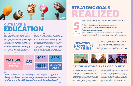As the pandemic dragged on into its second year, the health and safety of our staff, volunteers and clients remained our top priority. We continued focusing our energies on developing and expanding our reach through virtual and other broadcast means. We expanded our audience through the use of social media engaging our followers through Facebook, Instagram, Twitter, TikTok and YouTube. We pursued and were awarded a grant through the Central Florida Foundation to create and present a podcast series during Black History Month about issues facing victims in the Black community and ways to help support Black survivors which ultimately reached 24,993 listeners. Plus, since many summer camps where were limited or virtual, we partnered with Orange County Parks & Recreation

to present our youth Anti-Bullying and Cyber Bullying trainings virtually to all their campers. Additionally, we hosted Zoom virtual panel discussions featuring leaders and subject matter experts on topics including "Healing After Assault" and "Human Trafficking Awareness". We created and presented a new virtual training on protecting ourselves and loved ones from scam victimization specifically catered towards the older adult population. We also utilized Facebook Live to host various live online broadcast events on topics such as "Acts of Love & Kindness" in recognition of the Pulse Nightclub tragedy anniversary that featured local LGBTQ+ nonprofit leaders sharing their available resources, how their organizations were impacted and how they are healing from the trauma.

foundation for VSC's FY19-22 Strategic Plan:

Thank you for all you have done to help me make progress on my path to healing and thriving. I could not have gotten to where I am today without you. What you do is so incredibly important, and you do it exceptionally well. "  $7<sup>5</sup>$  From that point forward, our team members focused their efforts on tasks and activities intended to help realize those goals. Despite the setbacks and challenges presented by the pandemic, our team adapted well and had many significant notable accomplishments this year.



# **CULTIVATING PARTNERSHIPS & ADDING LOCATIONS**

During the spring, VSC was awarded a Federal STOP Grant that allowed us to hire an Outreach & Marketing Specialist focused on cultivating relationships with our local Departments of Health and expanding awareness of our services and within a few short months by the end of the fiscal year we had established a new MOU with the Osceola Department of Health memorializing our formal partnership.

We created a unique three-way collaboration and joined forces with Shepherd's Hope and the West Orange Healthcare District to establish a new West Orange satellite office in the historically Black area of Winter Garden. The newly established location is focused on breaking down some of the most critical barriers that often keep diverse community survivors from seeking help which include fear and mistrust of the legal system, cultural disclosure norms, lack of awareness, transportation and survivor shame/stigma.

- In May of 2019, the VSC Board of Directors crafted the following five key goals that laid the
	-
- **2) Establish & Increase diverse, reliable and sustainable revenue streams**
- **3) Cultivate & deepen mutually-beneficial mission-aligned partnerships**
	-

In Seminole County, we shared our goals of partnership and collaboration which quickly led to an offer to place a satellite office within the Seminole County Department of Health to further expand our services. Better yet, the new fully furnished office space was donated 100% in-kind. To announce the opening of the new office and partnership, we held a press conference that attracted more media coverage and awareness than any other single story about the VSC since we opened our doors 23 years ago.



# OUTREACH & EDUCATION

# STRATEGIC GOALS REALIZED



**1) Improve & expand organizational brand awareness 4) Expand prevention education, direct care services & locations 5) Enhance Board advocacy & involvement KEY**

**GOALS**

**5** 



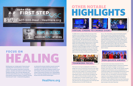As 2020 came to a close and the second wave of the pandemic was circulating, it became clear that once again we would not be able to hold our annual Cheers To Change benefit event in-person in April of 2021 as we had hoped. We had already had to cancel the Cheers event earlier in the year at the last minute when COVID-19 initially rapidly spread across our community. Rather than missing another opportunity to create awareness and engage with our donors, we quickly adjusted our plans and began working on a virtual Cheers event that would be broadcast over air, on every cable TV provider and via livestream on Facebook. We were able to enlist the help of Orange TV to donate their time and resources to produce and broadcast the program



for us. The virtual Cheers event was hosted by popular



television news anchor Ybeth Bruzual and featured guest speakers including both Orange County Mayor Jerry Demings and Orlando Mayor Buddy Dyer. Plus the program featured survivor testimonials, a spoken word poet, actors recreating scenes from the play "Candles in the Dark", acoustical performances from local musicians and an online silent auction. Best of all, the entire virtual event was produced and broadcast at no cost to the VSC but generated over \$60,000 in sponsor and donor revenue.

Each year we survey our employees in an effort to gauge their level of satisfaction and solicit their ideas on how we can build camaraderie and teamwork. That effort led to the creation of a voluntary employee led "Fun Committee" that meets periodically and spearheads various social activities throughout the year. Some of those activities included a parking lot tailgate party to kickoff football season, various potluck luncheons, several virtual coffee breaks, a late afternoon Axe Throwing party and a half day team building retreat at the SAK Comedy Lab.





I was honored to have been presented with the prestigious Don Quijote Hispanic Community Champion Award by the Hispanic Chamber of Commerce & Prospera. Each year since 1998, The Don Quijote Awards recognize the contributions and accomplishments of community leaders and outstanding professionals across Central Florida. Of the six awards that are presented annually, only one, the Hispanic Community Champion, is given to a non-Hispanic individual who has led by example in supporting the progress of the Hispanic community. I was humbled to have even been mentioned for such an honor and I could not be more proud to have been include in this elite fraternity!

# OTHER NOTABLE HIGHLIGHTS



# VIRTUAL CHEERS TO CHANGE EVENT

# TEAMWORK FOCUS

# DON QUIJOTE AWARD



FOCUS ON HEALING

Building upon our strategic goal of improving and expanding VSC's brand awareness, we convened a series of focus groups comprised of community partners, volunteers and clients to solicit their input, feedback and ideas. One of the key takeaways was that VSC should shift the focus of our messaging and brand identity toward the theme of "healing" and away from the word "victim". Armed with that guidance

we obtained the domain HealHere.org and connected it through to our website along with a new easy to remember (407) 500-HEAL telephone number for our 24/7 helpline. We also partnered with clear channel outdoor advertising to develop a new "Healing Begins Here" marketing campaign featured on billboards and busses across the Central Florida region.

 $HEALHERE.ORG<sup>o</sup> <sub>S</sub> <sub>1</sub> <sub>407-500-HEAL</sub>$ 

# HealHere.org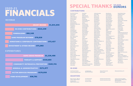Rosa María Abraham Advent Health Krista Ahola Clifford Alphonse Obada Alsalhani Priscilla Aquino Nicole Arft Mellysa Beadle Monique Bennett Bishop Moore High School Maria Blanco Craig Borkon Mike Bosley Amy Bosley Amanda Brannin Mark Bridgeman Vanessa Brundidge Ybeth Bruzual Lisa Buehler Built 4 Speed Tattoo Robert Butcher Alan Byrd Jenni Campbell Anamaria Cardwell Yazmin Castillo Marea Celentano Cynthia Clark Clear Channel Outdoor Barbara Cleary Roland Clee Cogent Bank Montana Coleman Corrine Collier Wendy Connor Daphne Cooper The Honorable Bill Cowles Dana Crawford John Crossman Luigi & Maureen Damiani Lui Damiani Luigi Damiani Johnny Damon Sharon Darin Jessica Davis

Dean Mead Kay Delk Bobby Deverall Deborah & Donna Dewoody Orlando Diaz Anthony DiGiacomo Pamela Dionne Ed Dore Donna Dowless Anthony Drabek Janie Drummond Emmett Egger Christine Elias Desiree Elzey Stacey Fogleman Kim Forepaugh Jeffrey Forrest Susan Fortini Greg Fox Joy Fox Jillian Fragale Kyle Fray Scott Galloway Jaclyn Garcia Vickie Gayle Alexandra Genao Jessica George Richard Gerweck Rhovaan Gifford Susan Godorov Rafael Gomez Martinez Kelisan Gonzalez Justin Graham Brianna Grant Mark Greeley Isabella Guerrero Amelia Guldi Susan Harris Adela Hathaway Susan Hathaway-Blois Jesse Hayman Heart of Florida United Way Alexander Hernandez

Yarilka Hernandez Alexis Hight Robert L. Hill Mark Hillman Paul Hinckley Homelight Inc. Penny Iannotti Wanda Ickes Vanessa Irizarry L Samir Jallad Tracey Jane Purple Jesus Adriana Jimenez John Craig Clothier Allen Johnson Charles Johnson Walter Johnson Raquel Johnson Edward Johnston James Kenney Nkayah Kersey Leon King Rebecca Klouse KPMG U.S. Foundation, Inc. Ashma Kumar Michael Lahair Michelle Langrock Gary Lesser Robert Lipscomb Anne Llewellyn Ignalys Lorenzo Garced Lowndes, Drosdick, Doster, Kantor & Reed, P.A. Christopher Loukensky Colin Melissa Lozano Garth Lurvey Maddi Lynch Macy Magliaro Jose Maldonado Martinez Kyle Mannion Lisa Matarese Michelle Matis Amanda Mccloud

Marie Mckenzie

Reed Messner Emilie Mitchell Sharon Mitchell Kevin Mitchell Betty Mittleman Dwayne Moore Kaye Morningstar Michael Mulhall Sonia Narvaez Scott Newbern Melanie Nguyen Emilio Nieves Mark O'Mara Orange County Sheriff's **Office** Orlando Health Adolfina Ortiz Owens Realty Panera/ Covelli Enterprises, Inc. Teresa Parham Paul Knopf Bigger, PLLC Jane Petrie Jenny Porter Braxton Powell P.R.P. Wine Intl Eamon Quinn Jocelyn Rayas Ralph Reinert Reinert Proctor Family Juanita Reiter Joellen Revell Yael Rivera Danae Rivera-Marasco Laura Rodriguez Alexander Rodriguez Isabella Rodriguez Maria Rolon Amy Roney Joseph Rotella Lisa Rowell Georgianna Saenz Paula Santullo William Sepulveda

Paolo & Bonnie Shea Shuffield Lowman Rachel Sines David Sines Revant Singal Jessica Sirianni Kathleen & Chris Skambis Janet Smith Rachel Stachler AJ Stanton Elizabeth Stanton Randall Suro Kristen Sweat Craig Swygert Erick Tagliafico Target The Blackbaud Giving Fund The Honorable Bill Cowles Jessica Thomas Janice Thompson Robert Thornton David Trinkle Valencia College Foundation Nicole Valentin Jose Vasquez Daniela Vazquez Shelley Warticki Jane Watrel Shannan Webster Wilfred Whatts Angela Williams Deven Williams Winter Park Construction (WPC) Steven Wilson Withum, Smith & Brown WomenCare of Baldwin Park Linda Woods YourCause, LLC Trustee for CIT Bank N.A. John Yuzzolin Brian Zarajczyk

ClearChannel Outdoor Covenant Cleaning Services Lucinda Esenam Kjerulff, MD, FACOG

Maqsud Ahmed, M.D. Pollo Tropical

WithumSmith+Brown, PC

Dept. Of Justice - Office of Violence Against Women Florida Council Against Sexual Violence

City Of Kissimmee City of Orlando City of St. Cloud

Orange County Government Osceola County Government Victims of Crime Act (VOCA) administered by FL Office of the Attorney General

Westgate Resorts Foundation

#### **IN-KIND**

#### **GRANTORS**

## REVENUE

# FINANCIALS

| <b>GRANT INCOME</b>                                     | \$1,841,856 |
|---------------------------------------------------------|-------------|
| <b>IN-KIND CONTRIBUTIONS \$214,249</b>                  |             |
| <b>FUNDRAISING \$82,549</b>                             |             |
| <b>SANE PROGRAM REVENUE \$76,028</b>                    |             |
| <b>DONATIONS &amp; CORPORATE CONTRIBUTIONS \$72,427</b> |             |
| <b>INVESTMENT &amp; OTHER INCOME \$71,965</b>           |             |
| <b>EXPENDITURES</b>                                     |             |
| RAPE CRISIS PROGRAM \$1,226,486                         |             |
| <b>THERAPY &amp; SUPPORT \$310,685</b>                  |             |
| <b>COMMUNITY OUTREACH &amp; PREVENTION \$183,741</b>    |             |

GENERAL & ADMINISTRATIVE \$171,977

VICTIM SERVICES PROGRAMS \$170,958

FUND DEVELOPMENT \$58,761

## **CONTRIBUTIONS**

## **SPECIAL THANKS** 2020-21 **TO OUR DONORS**